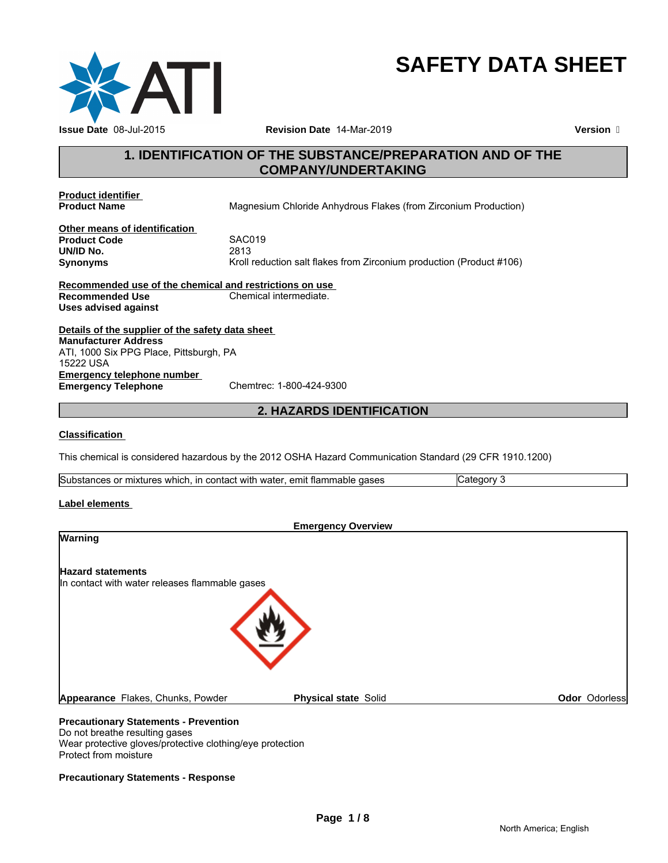

# **SAFETY DATA SHEET**

# **1. IDENTIFICATION OF THE SUBSTANCE/PREPARATION AND OF THE COMPANY/UNDERTAKING**

**Product identifier** 

**Magnesium Chloride Anhydrous Flakes (from Zirconium Production)** 

**Other means of identification Product Code** SACONS<br> **UN/ID No.** 2813 **UN/ID No.**<br>Synonyms

Kroll reduction salt flakes from Zirconium production (Product #106)

**Recommended use of the chemical and restrictions on use Recommended Use Chemical intermediate. Uses advised against**

**Details of the supplier of the safety data sheet Emergency telephone number<br>
Emergency Telephone**<br>
Chemtrec: 1-800-424-9300 **Emergency Telephone Manufacturer Address** ATI, 1000 Six PPG Place, Pittsburgh, PA 15222 USA

# **2. HAZARDS IDENTIFICATION**

#### **Classification**

This chemical is considered hazardous by the 2012 OSHA Hazard Communication Standard (29 CFR 1910.1200)

| <b>Substances</b><br>emit<br>` flammable<br>gases<br>. in contact with<br>water<br>; or mixtures<br>, which |  |
|-------------------------------------------------------------------------------------------------------------|--|
|-------------------------------------------------------------------------------------------------------------|--|

#### **Label elements**

| <b>Emergency Overview</b>                                        |                      |
|------------------------------------------------------------------|----------------------|
| <b>Warning</b>                                                   |                      |
| <b>Hazard statements</b>                                         |                      |
| In contact with water releases flammable gases                   |                      |
|                                                                  |                      |
| Appearance Flakes, Chunks, Powder<br><b>Physical state Solid</b> | <b>Odor</b> Odorless |
| <b>Precautionary Statements - Prevention</b>                     |                      |

# Do not breathe resulting gases

Wear protective gloves/protective clothing/eye protection Protect from moisture

#### **Precautionary Statements - Response**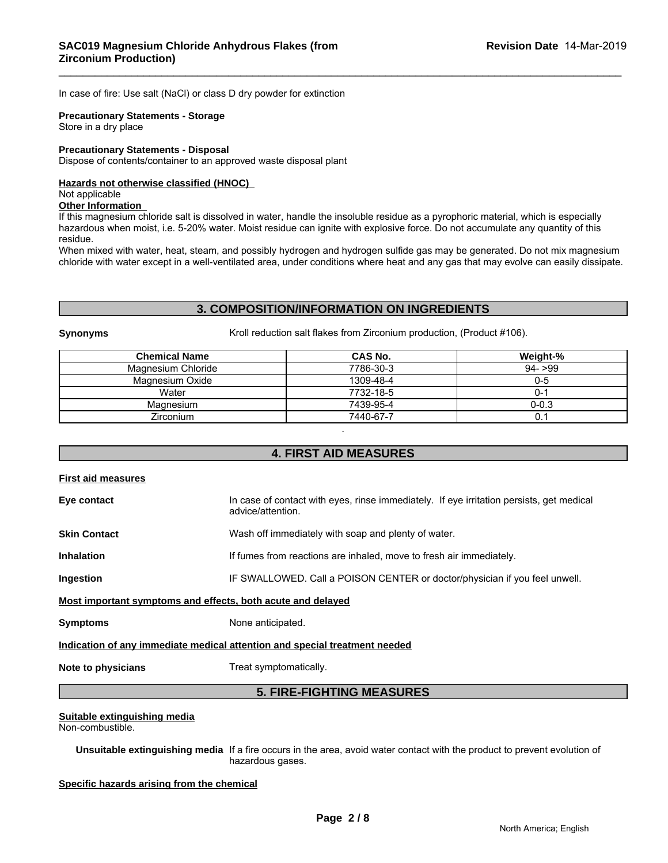In case of fire: Use salt (NaCl) or class D dry powder for extinction

# **Precautionary Statements - Storage**

Store in a dry place

#### **Precautionary Statements - Disposal**

Dispose of contents/container to an approved waste disposal plant

#### **Hazards not otherwise classified (HNOC)**

#### Not applicable

#### **Other Information**

If this magnesium chloride salt is dissolved in water, handle the insoluble residue as a pyrophoric material, which is especially hazardous when moist, i.e. 5-20% water. Moist residue can ignite with explosive force. Do not accumulate any quantity of this residue.

When mixed with water, heat, steam, and possibly hydrogen and hydrogen sulfide gas may be generated. Do not mix magnesium chloride with water except in a well-ventilated area, under conditions where heat and any gas that may evolve can easily dissipate.

# **3. COMPOSITION/INFORMATION ON INGREDIENTS**

**Synonyms** Kroll reduction salt flakes from Zirconium production, (Product #106).

| <b>Chemical Name</b> | CAS No.   | Weight-%  |
|----------------------|-----------|-----------|
| Magnesium Chloride   | 7786-30-3 | $94 - 99$ |
| Magnesium Oxide      | 1309-48-4 | 0-5       |
| Water                | 7732-18-5 | )-'       |
| Magnesium            | 7439-95-4 | $0 - 0.3$ |
| <b>Zirconium</b>     | 7440-67-7 |           |

# **4. FIRST AID MEASURES**

# **First aid measures Eye contact** In case of contact with eyes, rinse immediately. If eye irritation persists, get medical advice/attention. **Skin Contact** Wash off immediately with soap and plenty of water. **Inhalation If fumes from reactions are inhaled, move to fresh air immediately. Ingestion IF SWALLOWED. Call a POISON CENTER or doctor/physician if you feel unwell. Most important symptoms and effects, both acute and delayed Symptoms** None anticipated. **Indication of any immediate medical attention and special treatment needed Note to physicians** Treat symptomatically. **5. FIRE-FIGHTING MEASURES**

# **Suitable extinguishing media**

Non-combustible.

**Unsuitable extinguishing media** If a fire occurs in the area, avoid water contact with the product to prevent evolution of hazardous gases.

**Specific hazards arising from the chemical**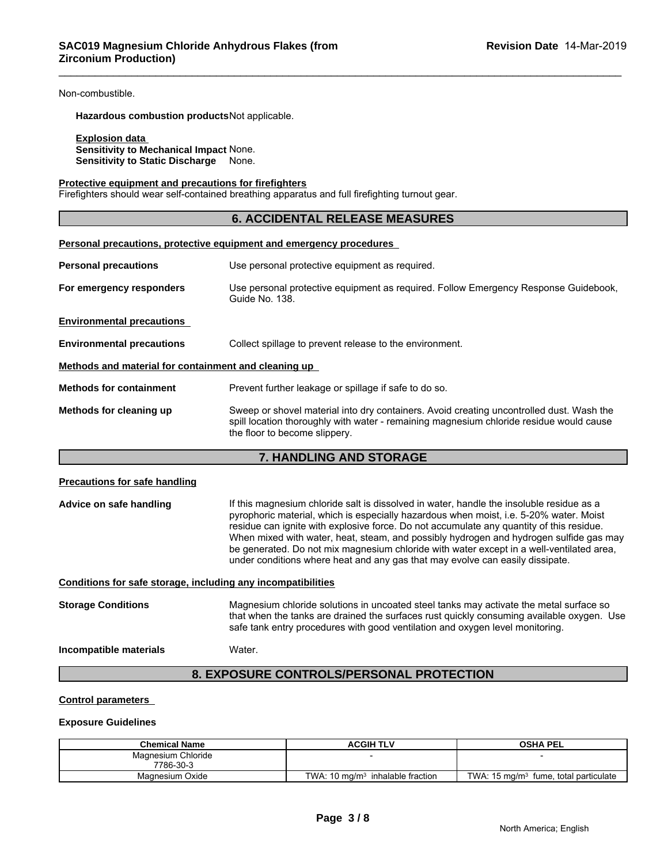Non-combustible.

**Hazardous combustion products**Not applicable.

#### **Explosion data**

**Sensitivity to Mechanical Impact** None. **Sensitivity to Static Discharge** None.

#### **Protective equipment and precautions for firefighters**

Firefighters should wear self-contained breathing apparatus and full firefighting turnout gear.

#### **6. ACCIDENTAL RELEASE MEASURES**

| Personal precautions, protective equipment and emergency procedures |                                                                                                                                                                                                                      |  |  |
|---------------------------------------------------------------------|----------------------------------------------------------------------------------------------------------------------------------------------------------------------------------------------------------------------|--|--|
| <b>Personal precautions</b>                                         | Use personal protective equipment as required.                                                                                                                                                                       |  |  |
| For emergency responders                                            | Use personal protective equipment as required. Follow Emergency Response Guidebook,<br>Guide No. 138.                                                                                                                |  |  |
| <b>Environmental precautions</b>                                    |                                                                                                                                                                                                                      |  |  |
| <b>Environmental precautions</b>                                    | Collect spillage to prevent release to the environment.                                                                                                                                                              |  |  |
| Methods and material for containment and cleaning up                |                                                                                                                                                                                                                      |  |  |
| <b>Methods for containment</b>                                      | Prevent further leakage or spillage if safe to do so.                                                                                                                                                                |  |  |
| Methods for cleaning up                                             | Sweep or shovel material into dry containers. Avoid creating uncontrolled dust. Wash the<br>spill location thoroughly with water - remaining magnesium chloride residue would cause<br>the floor to become slippery. |  |  |

#### **7. HANDLING AND STORAGE**

#### **Precautions for safe handling**

Advice on safe handling **If this magnesium chloride salt is dissolved in water**, handle the insoluble residue as a pyrophoric material, which is especially hazardous when moist, i.e. 5-20% water. Moist residue can ignite with explosive force. Do not accumulate any quantity of this residue. When mixed with water, heat, steam, and possibly hydrogen and hydrogen sulfide gas may be generated. Do not mix magnesium chloride with water except in a well-ventilated area, under conditions where heat and any gas that may evolve can easily dissipate.

**Conditions for safe storage, including any incompatibilities**

**Storage Conditions** Magnesium chloride solutions in uncoated steel tanks may activate the metal surface so that when the tanks are drained the surfaces rust quickly consuming available oxygen. Use safe tank entry procedures with good ventilation and oxygen level monitoring.

#### **Incompatible materials** Water.

### **8. EXPOSURE CONTROLS/PERSONAL PROTECTION**

#### **Control parameters**

#### **Exposure Guidelines**

| <b>Chemical Name</b> | <b>ACGIH TLV</b>                           | <b>OSHA PEL</b>                                          |  |
|----------------------|--------------------------------------------|----------------------------------------------------------|--|
| Magnesium Chloride   |                                            |                                                          |  |
| 7786-30-3            |                                            |                                                          |  |
| Magnesium Oxide      | TWA: 10 $\text{ma/m}^3$ inhalable fraction | TWA: $15 \text{ mg/m}^3$<br>fume,<br>, total particulate |  |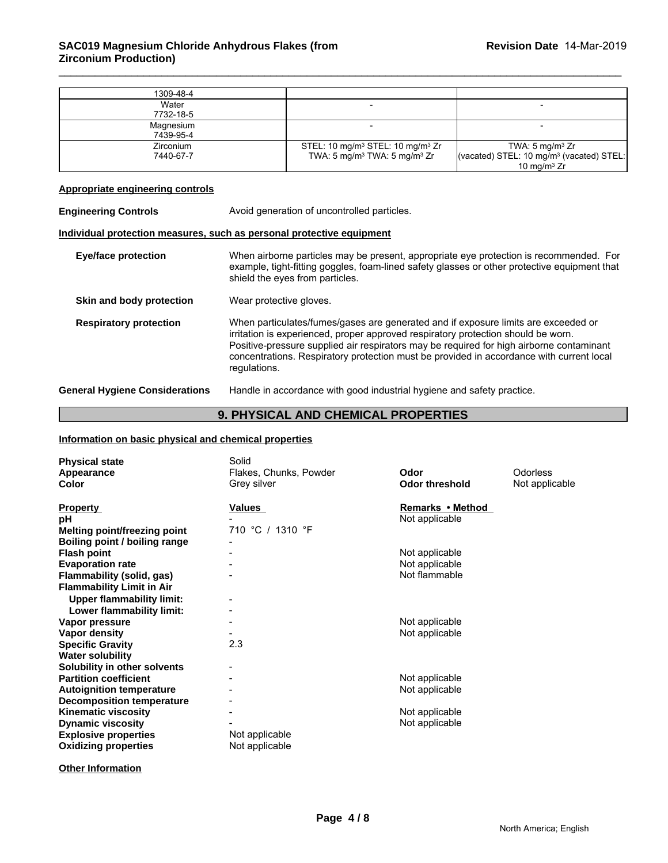| 1309-48-4 |                                                          |                                                      |
|-----------|----------------------------------------------------------|------------------------------------------------------|
| Water     |                                                          |                                                      |
| 7732-18-5 |                                                          |                                                      |
| Magnesium |                                                          |                                                      |
| 7439-95-4 |                                                          |                                                      |
| Zirconium | STEL: 10 mg/m <sup>3</sup> STEL: 10 mg/m <sup>3</sup> Zr | TWA: $5 \text{ mg/m}^3$ Zr                           |
| 7440-67-7 | TWA: $5 \text{ mg/m}^3$ TWA: $5 \text{ mg/m}^3$ Zr       | (vacated) STEL: 10 mg/m <sup>3</sup> (vacated) STEL: |
|           |                                                          | 10 mg/m $3 Zr$                                       |

# **Appropriate engineering controls**

| <b>Engineering Controls</b>           | Avoid generation of uncontrolled particles.                                                                                                                                                                                                                                                                                                                                     |  |
|---------------------------------------|---------------------------------------------------------------------------------------------------------------------------------------------------------------------------------------------------------------------------------------------------------------------------------------------------------------------------------------------------------------------------------|--|
|                                       | Individual protection measures, such as personal protective equipment                                                                                                                                                                                                                                                                                                           |  |
| <b>Eye/face protection</b>            | When airborne particles may be present, appropriate eye protection is recommended. For<br>example, tight-fitting goggles, foam-lined safety glasses or other protective equipment that<br>shield the eyes from particles.                                                                                                                                                       |  |
| Skin and body protection              | Wear protective gloves.                                                                                                                                                                                                                                                                                                                                                         |  |
| <b>Respiratory protection</b>         | When particulates/fumes/gases are generated and if exposure limits are exceeded or<br>irritation is experienced, proper approved respiratory protection should be worn.<br>Positive-pressure supplied air respirators may be required for high airborne contaminant<br>concentrations. Respiratory protection must be provided in accordance with current local<br>regulations. |  |
| <b>General Hygiene Considerations</b> | Handle in accordance with good industrial hygiene and safety practice.                                                                                                                                                                                                                                                                                                          |  |

# **9. PHYSICAL AND CHEMICAL PROPERTIES**

#### **Information on basic physical and chemical properties**

| <b>Physical state</b><br>Appearance<br><b>Color</b> | Solid<br>Flakes, Chunks, Powder<br>Grey silver | Odor<br><b>Odor threshold</b> | <b>Odorless</b><br>Not applicable |
|-----------------------------------------------------|------------------------------------------------|-------------------------------|-----------------------------------|
| <b>Property</b>                                     | <b>Values</b>                                  | Remarks • Method              |                                   |
| рH                                                  |                                                | Not applicable                |                                   |
| <b>Melting point/freezing point</b>                 | 710 °C / 1310 °F                               |                               |                                   |
| Boiling point / boiling range                       |                                                |                               |                                   |
| <b>Flash point</b>                                  |                                                | Not applicable                |                                   |
| <b>Evaporation rate</b>                             |                                                | Not applicable                |                                   |
| Flammability (solid, gas)                           |                                                | Not flammable                 |                                   |
| <b>Flammability Limit in Air</b>                    |                                                |                               |                                   |
| <b>Upper flammability limit:</b>                    |                                                |                               |                                   |
| Lower flammability limit:                           |                                                |                               |                                   |
| Vapor pressure                                      |                                                | Not applicable                |                                   |
| Vapor density                                       |                                                | Not applicable                |                                   |
| <b>Specific Gravity</b>                             | 2.3                                            |                               |                                   |
| <b>Water solubility</b>                             |                                                |                               |                                   |
| Solubility in other solvents                        |                                                |                               |                                   |
| <b>Partition coefficient</b>                        |                                                | Not applicable                |                                   |
| <b>Autoignition temperature</b>                     |                                                | Not applicable                |                                   |
| <b>Decomposition temperature</b>                    |                                                |                               |                                   |
| <b>Kinematic viscosity</b>                          |                                                | Not applicable                |                                   |
| <b>Dynamic viscosity</b>                            |                                                | Not applicable                |                                   |
| <b>Explosive properties</b>                         | Not applicable                                 |                               |                                   |
| <b>Oxidizing properties</b>                         | Not applicable                                 |                               |                                   |

**Other Information**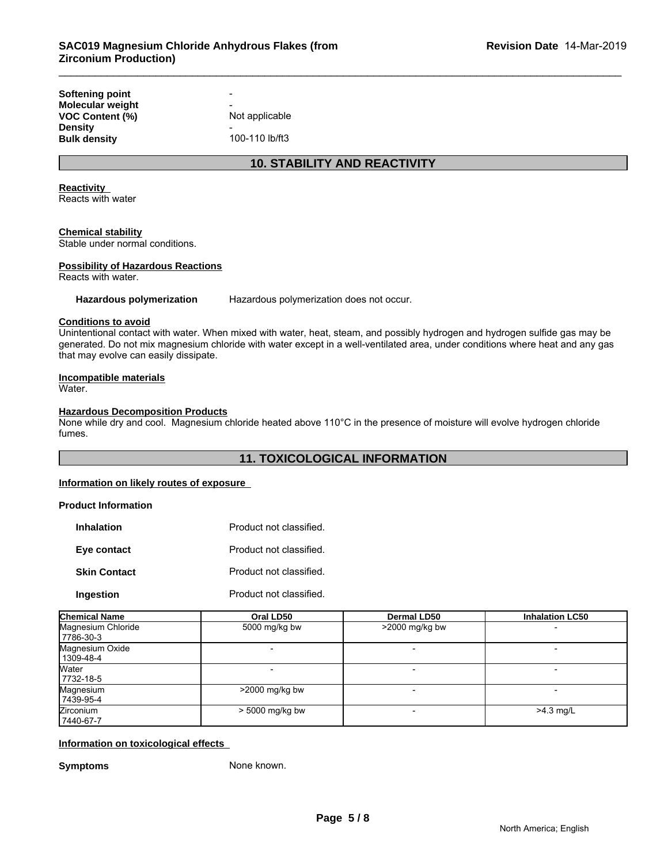| Softening point     | -              |  |
|---------------------|----------------|--|
| Molecular weight    | -              |  |
| VOC Content (%)     | Not applicable |  |
| Densitv             | -              |  |
| <b>Bulk density</b> | 100-110 lb/ft3 |  |
|                     |                |  |

# **10. STABILITY AND REACTIVITY**

#### **Reactivity**

Reacts with water

#### **Chemical stability**

Stable under normal conditions.

#### **Possibility of Hazardous Reactions**

Reacts with water.

**Hazardous polymerization** Hazardous polymerization does not occur.

#### **Conditions to avoid**

Unintentional contact with water. When mixed with water, heat, steam, and possibly hydrogen and hydrogen sulfide gas may be generated. Do not mix magnesium chloride with water except in a well-ventilated area, under conditions where heat and any gas that may evolve can easily dissipate.

#### **Incompatible materials**

Water.

#### **Hazardous Decomposition Products**

None while dry and cool. Magnesium chloride heated above 110°C in the presence of moisture will evolve hydrogen chloride fumes.

### **11. TOXICOLOGICAL INFORMATION**

### **Information on likely routes of exposure**

#### **Product Information**

| <b>Inhalation</b>   | Product not classified. |
|---------------------|-------------------------|
| Eye contact         | Product not classified. |
| <b>Skin Contact</b> | Product not classified. |
| Ingestion           | Product not classified. |

| <b>Chemical Name</b>              | Oral LD50         | Dermal LD50      | <b>Inhalation LC50</b> |
|-----------------------------------|-------------------|------------------|------------------------|
| Magnesium Chloride<br>  7786-30-3 | 5000 mg/kg bw     | $>2000$ mg/kg bw |                        |
| Magnesium Oxide<br>  1309-48-4    |                   |                  |                        |
| Water<br>7732-18-5                |                   |                  |                        |
| Magnesium<br> 7439-95-4           | $>$ 2000 mg/kg bw |                  |                        |
| Zirconium<br>7440-67-7            | > 5000 mg/kg bw   |                  | $>4.3$ mg/L            |

#### **Information on toxicological effects**

**Symptoms** None known.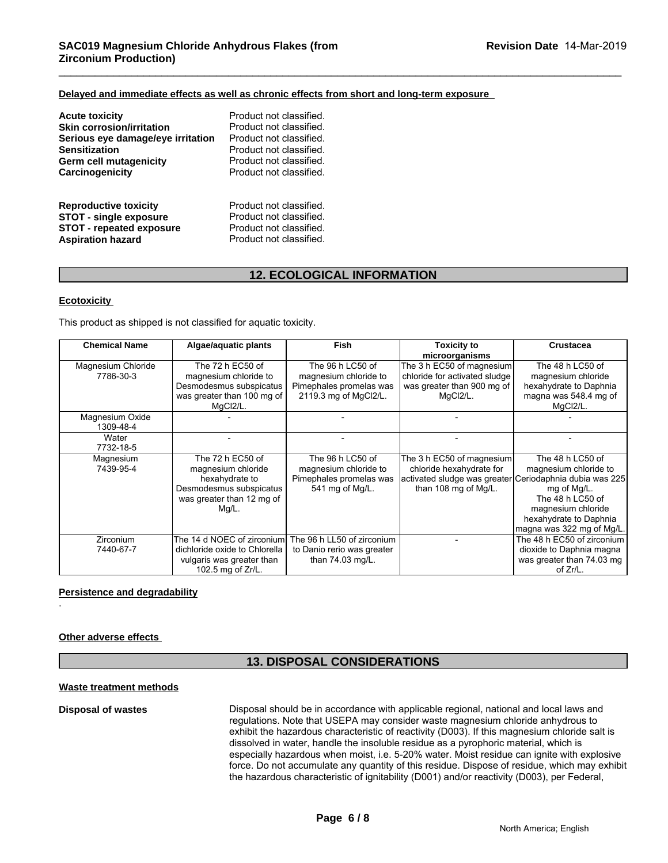#### **Delayed and immediate effects as well as chronic effects from short and long-term exposure**

| <b>Acute toxicity</b>             | Product not classified. |
|-----------------------------------|-------------------------|
| <b>Skin corrosion/irritation</b>  | Product not classified. |
| Serious eye damage/eye irritation | Product not classified. |
| <b>Sensitization</b>              | Product not classified. |
| Germ cell mutagenicity            | Product not classified. |
| Carcinogenicity                   | Product not classified. |
| <b>Reproductive toxicity</b>      | Product not classified. |
| <b>STOT - single exposure</b>     | Product not classified. |
| <b>STOT - repeated exposure</b>   | Product not classified. |
| <b>Aspiration hazard</b>          | Product not classified. |

# **12. ECOLOGICAL INFORMATION**

#### **Ecotoxicity**

This product as shipped is not classified for aquatic toxicity.

| <b>Chemical Name</b>            | Algae/aquatic plants                                                                                                      | <b>Fish</b>                                                                                   | <b>Toxicity to</b><br>microorganisms                                                                                                     | Crustacea                                                                                                                                                 |
|---------------------------------|---------------------------------------------------------------------------------------------------------------------------|-----------------------------------------------------------------------------------------------|------------------------------------------------------------------------------------------------------------------------------------------|-----------------------------------------------------------------------------------------------------------------------------------------------------------|
| Magnesium Chloride<br>7786-30-3 | The 72 h EC50 of<br>magnesium chloride to<br>Desmodesmus subspicatus<br>was greater than 100 mg of<br>MqCl2/L.            | The 96 h LC50 of<br>magnesium chloride to<br>Pimephales promelas was<br>2119.3 mg of MgCl2/L. | The 3 h EC50 of magnesium<br>chloride for activated sludge<br>was greater than 900 mg of<br>MgCl2/L.                                     | The 48 h LC50 of<br>magnesium chloride<br>hexahydrate to Daphnia<br>magna was 548.4 mg of<br>MgCl2/L.                                                     |
| Magnesium Oxide<br>1309-48-4    |                                                                                                                           |                                                                                               |                                                                                                                                          |                                                                                                                                                           |
| Water<br>7732-18-5              |                                                                                                                           |                                                                                               |                                                                                                                                          |                                                                                                                                                           |
| Magnesium<br>7439-95-4          | The 72 h EC50 of<br>magnesium chloride<br>hexahydrate to<br>Desmodesmus subspicatus<br>was greater than 12 mg of<br>Mg/L. | The 96 h LC50 of<br>magnesium chloride to<br>Pimephales promelas was<br>541 mg of Mg/L.       | The 3 h EC50 of magnesium<br>chloride hexahydrate for<br>activated sludge was greater Ceriodaphnia dubia was 225<br>than 108 mg of Mg/L. | The 48 h LC50 of<br>magnesium chloride to<br>mg of Mg/L.<br>The 48 h LC50 of<br>magnesium chloride<br>hexahydrate to Daphnia<br>magna was 322 mg of Mg/L. |
| <b>Zirconium</b><br>7440-67-7   | The 14 d NOEC of zirconium<br>dichloride oxide to Chlorella<br>vulgaris was greater than<br>102.5 mg of Zr/L.             | The 96 h LL50 of zirconium<br>to Danio rerio was greater<br>than 74.03 mg/L.                  |                                                                                                                                          | The 48 h EC50 of zirconium<br>dioxide to Daphnia magna<br>was greater than 74.03 mg<br>of Zr/L.                                                           |

#### **Persistence and degradability**

#### **Other adverse effects**

.

# **13. DISPOSAL CONSIDERATIONS**

#### **Waste treatment methods**

**Disposal of wastes** Disposal should be in accordance with applicable regional, national and local laws and regulations. Note that USEPA may consider waste magnesium chloride anhydrous to exhibit the hazardous characteristic of reactivity (D003). If this magnesium chloride salt is dissolved in water, handle the insoluble residue as a pyrophoric material, which is especially hazardous when moist, i.e. 5-20% water. Moist residue can ignite with explosive force. Do not accumulate any quantity of this residue. Dispose of residue, which may exhibit the hazardous characteristic of ignitability (D001) and/or reactivity (D003), per Federal,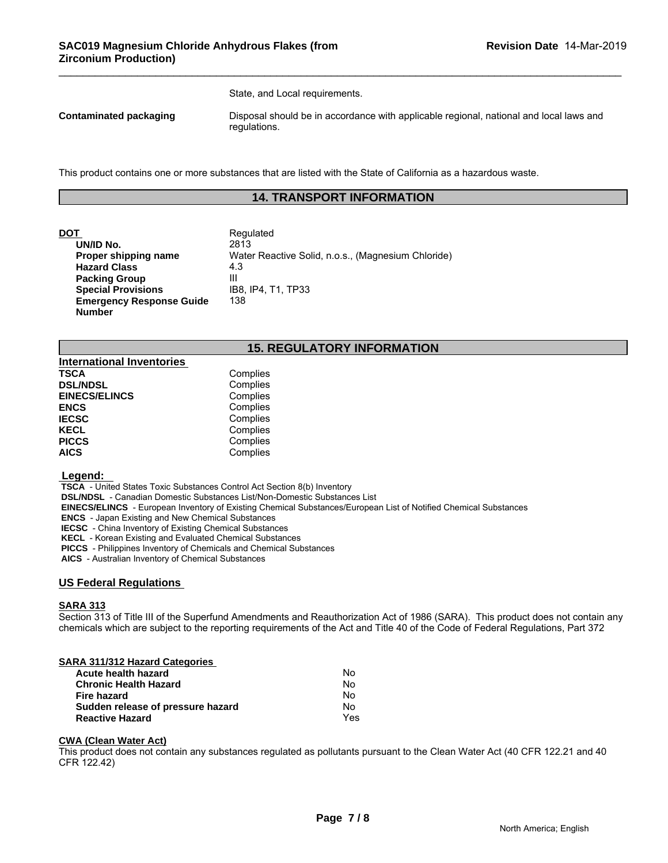State, and Local requirements.

**Contaminated packaging Disposal should be in accordance with applicable regional, national and local laws and contaminated packaging** regulations.

This product contains one or more substances that are listed with the State of California as a hazardous waste.

# **14. TRANSPORT INFORMATION**

| DOT                             | Regulated                                          |
|---------------------------------|----------------------------------------------------|
| UN/ID No.                       | 2813                                               |
| Proper shipping name            | Water Reactive Solid, n.o.s., (Magnesium Chloride) |
| <b>Hazard Class</b>             | 4.3                                                |
| <b>Packing Group</b>            | Ш                                                  |
| <b>Special Provisions</b>       | IB8. IP4. T1. TP33                                 |
| <b>Emergency Response Guide</b> | 138                                                |
| <b>Number</b>                   |                                                    |

# **15. REGULATORY INFORMATION**

| <b>International Inventories</b> |          |
|----------------------------------|----------|
| <b>TSCA</b>                      | Complies |
| <b>DSL/NDSL</b>                  | Complies |
| <b>EINECS/ELINCS</b>             | Complies |
| <b>ENCS</b>                      | Complies |
| <b>IECSC</b>                     | Complies |
| <b>KECL</b>                      | Complies |
| <b>PICCS</b>                     | Complies |
| <b>AICS</b>                      | Complies |

#### **Legend:**

 **TSCA** - United States Toxic Substances Control Act Section 8(b) Inventory

 **DSL/NDSL** - Canadian Domestic Substances List/Non-Domestic Substances List

 **EINECS/ELINCS** - European Inventory of Existing Chemical Substances/European List of Notified Chemical Substances

 **ENCS** - Japan Existing and New Chemical Substances

 **IECSC** - China Inventory of Existing Chemical Substances

 **KECL** - Korean Existing and Evaluated Chemical Substances

 **PICCS** - Philippines Inventory of Chemicals and Chemical Substances

 **AICS** - Australian Inventory of Chemical Substances

#### **US Federal Regulations**

#### **SARA 313**

Section 313 of Title III of the Superfund Amendments and Reauthorization Act of 1986 (SARA). This product does not contain any chemicals which are subject to the reporting requirements of the Act and Title 40 of the Code of Federal Regulations, Part 372

#### **SARA 311/312 Hazard Categories**

| Acute health hazard               | No  |
|-----------------------------------|-----|
| <b>Chronic Health Hazard</b>      | No  |
| Fire hazard                       | No. |
| Sudden release of pressure hazard | No. |
| <b>Reactive Hazard</b>            | Yes |

#### **CWA (Clean Water Act)**

This product does not contain any substances regulated as pollutants pursuant to the Clean Water Act (40 CFR 122.21 and 40 CFR 122.42)